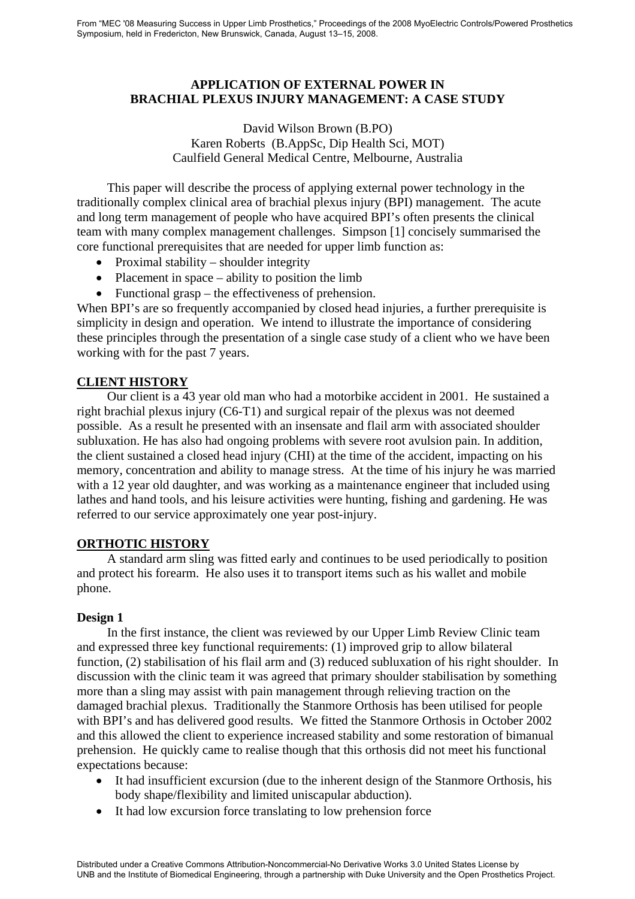# **APPLICATION OF EXTERNAL POWER IN BRACHIAL PLEXUS INJURY MANAGEMENT: A CASE STUDY**

## David Wilson Brown (B.PO) Karen Roberts (B.AppSc, Dip Health Sci, MOT) Caulfield General Medical Centre, Melbourne, Australia

This paper will describe the process of applying external power technology in the traditionally complex clinical area of brachial plexus injury (BPI) management. The acute and long term management of people who have acquired BPI's often presents the clinical team with many complex management challenges. Simpson [1] concisely summarised the core functional prerequisites that are needed for upper limb function as:

- Proximal stability shoulder integrity
- Placement in space ability to position the limb
- Functional grasp the effectiveness of prehension.

When BPI's are so frequently accompanied by closed head injuries, a further prerequisite is simplicity in design and operation. We intend to illustrate the importance of considering these principles through the presentation of a single case study of a client who we have been working with for the past 7 years.

# **CLIENT HISTORY**

Our client is a 43 year old man who had a motorbike accident in 2001. He sustained a right brachial plexus injury (C6-T1) and surgical repair of the plexus was not deemed possible. As a result he presented with an insensate and flail arm with associated shoulder subluxation. He has also had ongoing problems with severe root avulsion pain. In addition, the client sustained a closed head injury (CHI) at the time of the accident, impacting on his memory, concentration and ability to manage stress. At the time of his injury he was married with a 12 year old daughter, and was working as a maintenance engineer that included using lathes and hand tools, and his leisure activities were hunting, fishing and gardening. He was referred to our service approximately one year post-injury.

## **ORTHOTIC HISTORY**

A standard arm sling was fitted early and continues to be used periodically to position and protect his forearm. He also uses it to transport items such as his wallet and mobile phone.

## **Design 1**

In the first instance, the client was reviewed by our Upper Limb Review Clinic team and expressed three key functional requirements: (1) improved grip to allow bilateral function, (2) stabilisation of his flail arm and (3) reduced subluxation of his right shoulder. In discussion with the clinic team it was agreed that primary shoulder stabilisation by something more than a sling may assist with pain management through relieving traction on the damaged brachial plexus. Traditionally the Stanmore Orthosis has been utilised for people with BPI's and has delivered good results. We fitted the Stanmore Orthosis in October 2002 and this allowed the client to experience increased stability and some restoration of bimanual prehension. He quickly came to realise though that this orthosis did not meet his functional expectations because:

- It had insufficient excursion (due to the inherent design of the Stanmore Orthosis, his body shape/flexibility and limited uniscapular abduction).
- It had low excursion force translating to low prehension force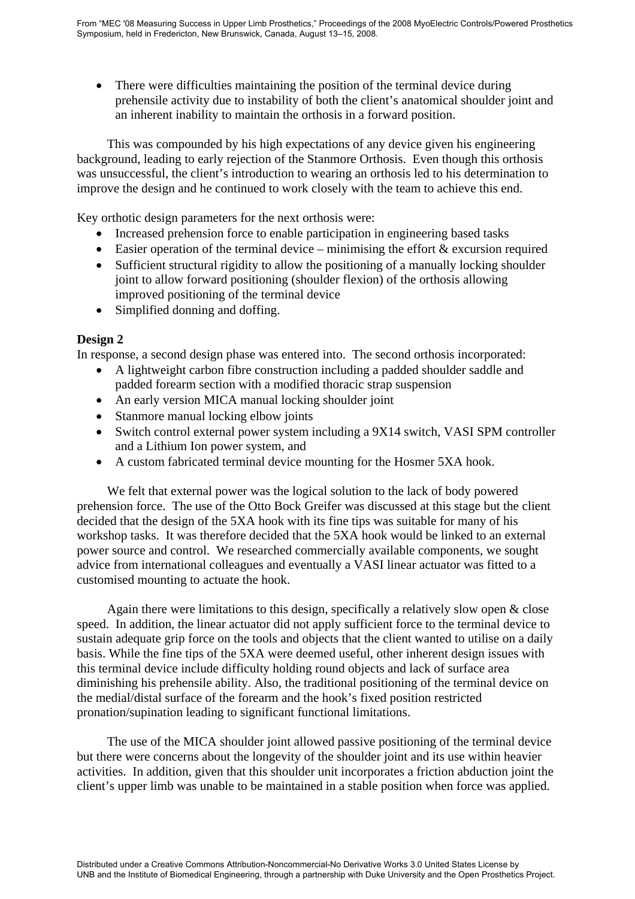• There were difficulties maintaining the position of the terminal device during prehensile activity due to instability of both the client's anatomical shoulder joint and an inherent inability to maintain the orthosis in a forward position.

This was compounded by his high expectations of any device given his engineering background, leading to early rejection of the Stanmore Orthosis. Even though this orthosis was unsuccessful, the client's introduction to wearing an orthosis led to his determination to improve the design and he continued to work closely with the team to achieve this end.

Key orthotic design parameters for the next orthosis were:

- Increased prehension force to enable participation in engineering based tasks
- Easier operation of the terminal device minimising the effort  $&$  excursion required
- Sufficient structural rigidity to allow the positioning of a manually locking shoulder joint to allow forward positioning (shoulder flexion) of the orthosis allowing improved positioning of the terminal device
- Simplified donning and doffing.

## **Design 2**

In response, a second design phase was entered into. The second orthosis incorporated:

- A lightweight carbon fibre construction including a padded shoulder saddle and padded forearm section with a modified thoracic strap suspension
- An early version MICA manual locking shoulder joint
- Stanmore manual locking elbow joints
- Switch control external power system including a 9X14 switch, VASI SPM controller and a Lithium Ion power system, and
- A custom fabricated terminal device mounting for the Hosmer 5XA hook.

We felt that external power was the logical solution to the lack of body powered prehension force. The use of the Otto Bock Greifer was discussed at this stage but the client decided that the design of the 5XA hook with its fine tips was suitable for many of his workshop tasks. It was therefore decided that the 5XA hook would be linked to an external power source and control. We researched commercially available components, we sought advice from international colleagues and eventually a VASI linear actuator was fitted to a customised mounting to actuate the hook.

Again there were limitations to this design, specifically a relatively slow open & close speed. In addition, the linear actuator did not apply sufficient force to the terminal device to sustain adequate grip force on the tools and objects that the client wanted to utilise on a daily basis. While the fine tips of the 5XA were deemed useful, other inherent design issues with this terminal device include difficulty holding round objects and lack of surface area diminishing his prehensile ability. Also, the traditional positioning of the terminal device on the medial/distal surface of the forearm and the hook's fixed position restricted pronation/supination leading to significant functional limitations.

The use of the MICA shoulder joint allowed passive positioning of the terminal device but there were concerns about the longevity of the shoulder joint and its use within heavier activities. In addition, given that this shoulder unit incorporates a friction abduction joint the client's upper limb was unable to be maintained in a stable position when force was applied.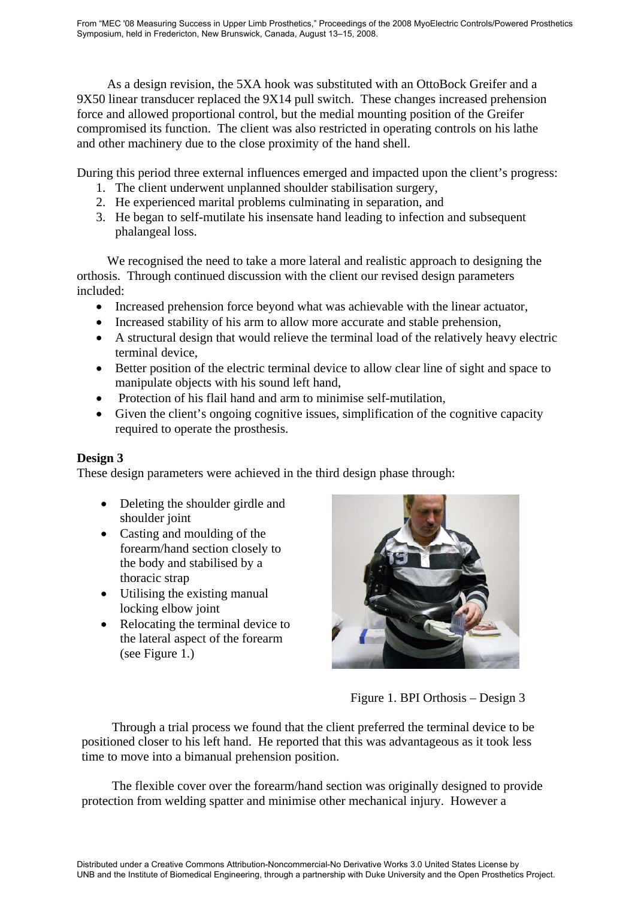As a design revision, the 5XA hook was substituted with an OttoBock Greifer and a 9X50 linear transducer replaced the 9X14 pull switch. These changes increased prehension force and allowed proportional control, but the medial mounting position of the Greifer compromised its function. The client was also restricted in operating controls on his lathe and other machinery due to the close proximity of the hand shell.

During this period three external influences emerged and impacted upon the client's progress:

- 1. The client underwent unplanned shoulder stabilisation surgery,
- 2. He experienced marital problems culminating in separation, and
- 3. He began to self-mutilate his insensate hand leading to infection and subsequent phalangeal loss.

We recognised the need to take a more lateral and realistic approach to designing the orthosis. Through continued discussion with the client our revised design parameters included:

- Increased prehension force beyond what was achievable with the linear actuator,
- Increased stability of his arm to allow more accurate and stable prehension,
- A structural design that would relieve the terminal load of the relatively heavy electric terminal device,
- Better position of the electric terminal device to allow clear line of sight and space to manipulate objects with his sound left hand,
- Protection of his flail hand and arm to minimise self-mutilation,
- Given the client's ongoing cognitive issues, simplification of the cognitive capacity required to operate the prosthesis.

# **Design 3**

These design parameters were achieved in the third design phase through:

- Deleting the shoulder girdle and shoulder joint
- Casting and moulding of the forearm/hand section closely to the body and stabilised by a thoracic strap
- Utilising the existing manual locking elbow joint
- Relocating the terminal device to the lateral aspect of the forearm (see Figure 1.)



Figure 1. BPI Orthosis – Design 3

Through a trial process we found that the client preferred the terminal device to be positioned closer to his left hand. He reported that this was advantageous as it took less time to move into a bimanual prehension position.

The flexible cover over the forearm/hand section was originally designed to provide protection from welding spatter and minimise other mechanical injury. However a